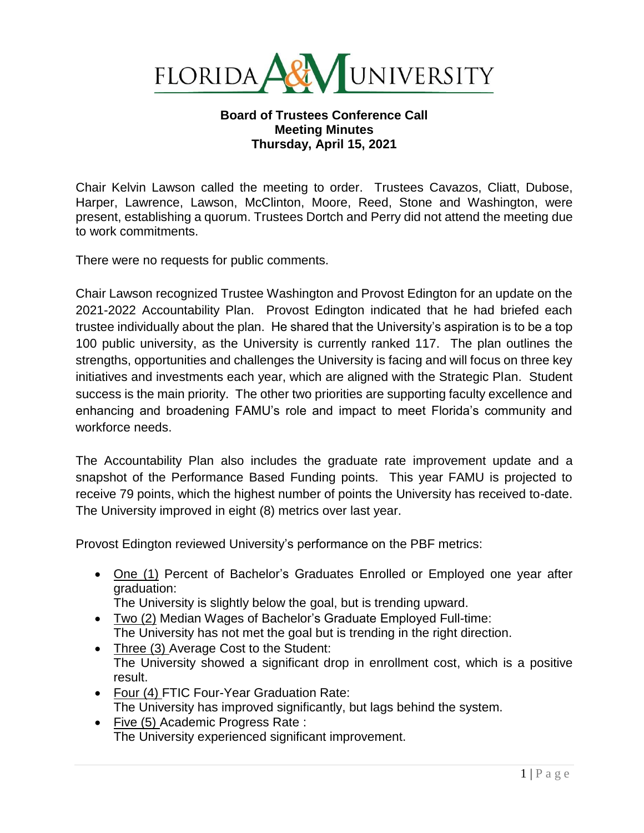

## **Board of Trustees Conference Call Meeting Minutes Thursday, April 15, 2021**

Chair Kelvin Lawson called the meeting to order. Trustees Cavazos, Cliatt, Dubose, Harper, Lawrence, Lawson, McClinton, Moore, Reed, Stone and Washington, were present, establishing a quorum. Trustees Dortch and Perry did not attend the meeting due to work commitments.

There were no requests for public comments.

Chair Lawson recognized Trustee Washington and Provost Edington for an update on the 2021-2022 Accountability Plan. Provost Edington indicated that he had briefed each trustee individually about the plan. He shared that the University's aspiration is to be a top 100 public university, as the University is currently ranked 117. The plan outlines the strengths, opportunities and challenges the University is facing and will focus on three key initiatives and investments each year, which are aligned with the Strategic Plan. Student success is the main priority. The other two priorities are supporting faculty excellence and enhancing and broadening FAMU's role and impact to meet Florida's community and workforce needs.

The Accountability Plan also includes the graduate rate improvement update and a snapshot of the Performance Based Funding points. This year FAMU is projected to receive 79 points, which the highest number of points the University has received to-date. The University improved in eight (8) metrics over last year.

Provost Edington reviewed University's performance on the PBF metrics:

- One (1) Percent of Bachelor's Graduates Enrolled or Employed one year after graduation:
	- The University is slightly below the goal, but is trending upward.
- Two (2) Median Wages of Bachelor's Graduate Employed Full-time: The University has not met the goal but is trending in the right direction.
- Three (3) Average Cost to the Student: The University showed a significant drop in enrollment cost, which is a positive result.
- Four (4) FTIC Four-Year Graduation Rate: The University has improved significantly, but lags behind the system.
- Five (5) Academic Progress Rate : The University experienced significant improvement.